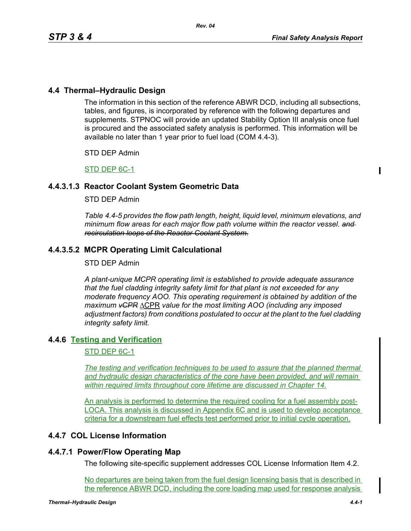# **4.4 Thermal–Hydraulic Design**

The information in this section of the reference ABWR DCD, including all subsections, tables, and figures, is incorporated by reference with the following departures and supplements. STPNOC will provide an updated Stability Option III analysis once fuel is procured and the associated safety analysis is performed. This information will be available no later than 1 year prior to fuel load (COM 4.4-3).

STD DEP Admin

## STD DEP 6C-1

# **4.4.3.1.3 Reactor Coolant System Geometric Data**

#### STD DEP Admin

*Table 4.4-5 provides the flow path length, height, liquid level, minimum elevations, and minimum flow areas for each major flow path volume within the reactor vessel. and recirculation loops of the Reactor Coolant System.*

# **4.4.3.5.2 MCPR Operating Limit Calculational**

#### STD DEP Admin

*A plant-unique MCPR operating limit is established to provide adequate assurance that the fuel cladding integrity safety limit for that plant is not exceeded for any moderate frequency AOO. This operating requirement is obtained by addition of the maximum vCPR* ΔCPR *value for the most limiting AOO (including any imposed adjustment factors) from conditions postulated to occur at the plant to the fuel cladding integrity safety limit.*

## **4.4.6 Testing and Verification**

#### STD DEP 6C-1

*The testing and verification techniques to be used to assure that the planned thermal*  and hydraulic design characteristics of the core have been provided, and will remain *within required limits throughout core lifetime are discussed in Chapter 14.*

An analysis is performed to determine the required cooling for a fuel assembly post-LOCA. This analysis is discussed in Appendix 6C and is used to develop acceptance criteria for a downstream fuel effects test performed prior to initial cycle operation.

## **4.4.7 COL License Information**

## **4.4.7.1 Power/Flow Operating Map**

The following site-specific supplement addresses COL License Information Item 4.2.

No departures are being taken from the fuel design licensing basis that is described in the reference ABWR DCD, including the core loading map used for response analysis